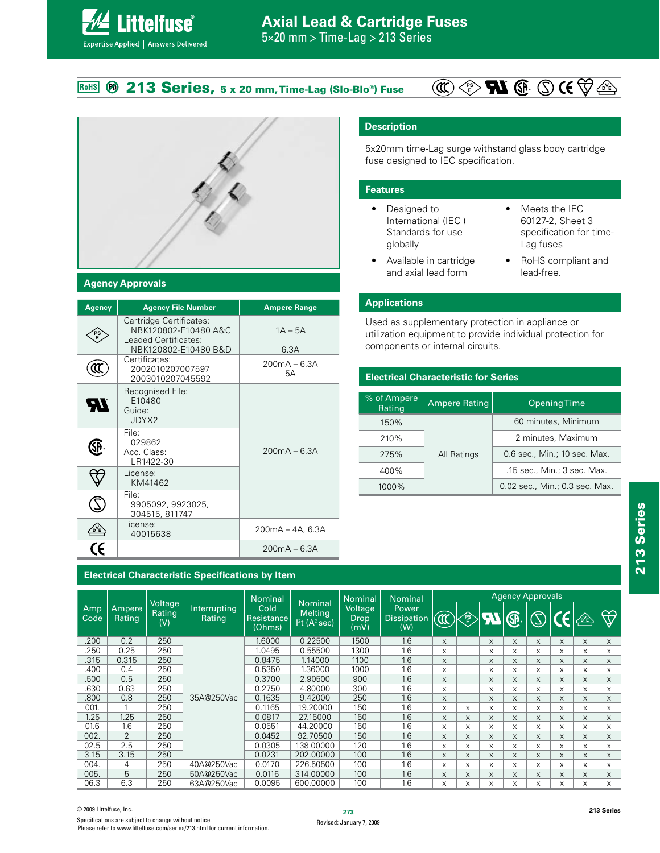#### **213 Series, 5 x 20 mm, Time-Lag (Slo-Blo<sup>®</sup>) Fuse** RoHS





**ittelfuse** 

Expertise Applied | Answers Delivered

#### **Agency Approvals**

| <b>Agency</b> | <b>Agency File Number</b>                                                                       | <b>Ampere Range</b>  |
|---------------|-------------------------------------------------------------------------------------------------|----------------------|
|               | Cartridge Certificates:<br>NBK120802-E10480 A&C<br>Leaded Certificates:<br>NBK120802-E10480 B&D | $1A - 5A$<br>6.3A    |
|               | Certificates:<br>2002010207007597<br>2003010207045592                                           | $200mA - 6.3A$<br>5А |
| 97            | Recognised File:<br>F10480<br>Guide:<br>JDYX2                                                   |                      |
|               | File <sup>.</sup><br>029862<br>Acc. Class:<br>LR1422-30                                         | $200mA - 6.3A$       |
|               | License:<br>KM41462                                                                             |                      |
|               | File:<br>9905092, 9923025,<br>304515, 811747                                                    |                      |
|               | License:<br>40015638                                                                            | 200mA - 4A, 6.3A     |
|               |                                                                                                 | $200mA - 6.3A$       |

**Description**

5x20mm time-Lag surge withstand glass body cartridge fuse designed to IEC specification.

#### **Features**

- Designed to International (IEC ) Standards for use globally
- $\bullet$  Meets the IEC 60127-2, Sheet 3 specification for time-Lag fuses
- Available in cartridge and axial lead form
- RoHS compliant and lead-free.

#### **Applications**

Used as supplementary protection in appliance or utilization equipment to provide individual protection for components or internal circuits.

#### **Electrical Characteristic for Series**

| % of Ampere<br>Rating | <b>Ampere Rating</b> | <b>Opening Time</b>            |  |  |
|-----------------------|----------------------|--------------------------------|--|--|
| 150%                  |                      | 60 minutes, Minimum            |  |  |
| 210%                  |                      | 2 minutes, Maximum             |  |  |
| 275%                  | All Ratings          | 0.6 sec., Min.; 10 sec. Max.   |  |  |
| 400%                  |                      | .15 sec., Min.; 3 sec. Max.    |  |  |
| 1000%                 |                      | 0.02 sec., Min.; 0.3 sec. Max. |  |  |

#### **Electrical Characteristic Specifications by Item**

|             |                         |                          |                        | <b>Nominal</b>                                                                                         |                                | <b>Nominal</b>                            | <b>Nominal</b> | <b>Agency Approvals</b> |              |           |   |               |     |                    |          |
|-------------|-------------------------|--------------------------|------------------------|--------------------------------------------------------------------------------------------------------|--------------------------------|-------------------------------------------|----------------|-------------------------|--------------|-----------|---|---------------|-----|--------------------|----------|
| Amp<br>Code | Ampere<br><b>Rating</b> | Voltage<br>Rating<br>(V) | Interrupting<br>Rating | <b>Nominal</b><br>Cold<br><b>Melting</b><br><b>Resistance</b><br>$12$ t (A <sup>2</sup> sec)<br>(Ohms) | <b>Voltage</b><br>Drop<br>(mV) | <b>Power</b><br><b>Dissipation</b><br>(W) | $\mathbb{Q}$   | FS<br>E                 | $\mathbf{u}$ | <b>GP</b> |   | $\mathcal{C}$ | ∕थे | $\bigtriangledown$ |          |
| .200        | 0.2                     | 250                      |                        | 1.6000                                                                                                 | 0.22500                        | 1500                                      | 1.6            | X                       |              | X         | X | X             | X   | X                  | $\times$ |
| .250        | 0.25                    | 250                      |                        | 1.0495                                                                                                 | 0.55500                        | 1300                                      | 1.6            | X                       |              | X         | X | X             | X   | X                  | X        |
| .315        | 0.315                   | 250                      |                        | 0.8475                                                                                                 | 1.14000                        | 1100                                      | 1.6            | X                       |              | X         | X | X             | X   | X                  | X        |
| .400        | 0.4                     | 250                      |                        | 0.5350                                                                                                 | 1.36000                        | 1000                                      | 1.6            | X                       |              | X         | X | X             | X   | X                  | X        |
| .500        | 0.5                     | 250                      |                        | 0.3700                                                                                                 | 2.90500                        | 900                                       | 1.6            | X                       |              | X         | X | X             | X   | X                  | X.       |
| .630        | 0.63                    | 250                      |                        | 0.2750                                                                                                 | 4.80000                        | 300                                       | 1.6            | X                       |              | X         | X | X             | X   | X                  | X        |
| .800        | 0.8                     | 250                      | 35A@250Vac             | 0.1635                                                                                                 | 9.42000                        | 250                                       | 1.6            | X                       |              | X         | X | X             | X   | X                  | X        |
| 001.        |                         | 250                      |                        | 0.1165                                                                                                 | 19.20000                       | 150                                       | 1.6            | X                       | X            | X         | X | X             | X   | X                  | X        |
| 1.25        | 1.25                    | 250                      |                        | 0.0817                                                                                                 | 27.15000                       | 150                                       | 1.6            | X                       | X            | X         | X | X             | X   | X                  | $\times$ |
| 01.6        | 1.6                     | 250                      |                        | 0.0551                                                                                                 | 44.20000                       | 150                                       | 1.6            | X                       | X            | X         | X | X             | X   | X                  | X        |
| 002         | 2                       | 250                      |                        | 0.0452                                                                                                 | 92.70500                       | 150                                       | 1.6            | X                       | X            | X         | X | X             | X   | X                  | $\times$ |
| 02.5        | 2.5                     | 250                      |                        | 0.0305                                                                                                 | 138.00000                      | 120                                       | 1.6            | X                       | X            | X         | X | X             | X   | X                  | X        |
| 3.15        | 3.15                    | 250                      |                        | 0.0231                                                                                                 | 202.00000                      | 100                                       | 1.6            | X                       | X            | X         | X | X             | X   | X                  | X        |
| 004.        | 4                       | 250                      | 40A@250Vac             | 0.0170                                                                                                 | 226.50500                      | 100                                       | 1.6            | X                       | X            | X         | X | X             | X   | X                  | X        |
| 005.        | 5                       | 250                      | 50A@250Vac             | 0.0116                                                                                                 | 314,00000                      | 100                                       | 1.6            | X                       | X            | X         | X | X             | X   | X                  | $\times$ |
| 06.3        | 6.3                     | 250                      | 63A@250Vac             | 0.0095                                                                                                 | 600.00000                      | 100                                       | 1.6            | X                       | X            | X         | X | X             | X   | X                  | X        |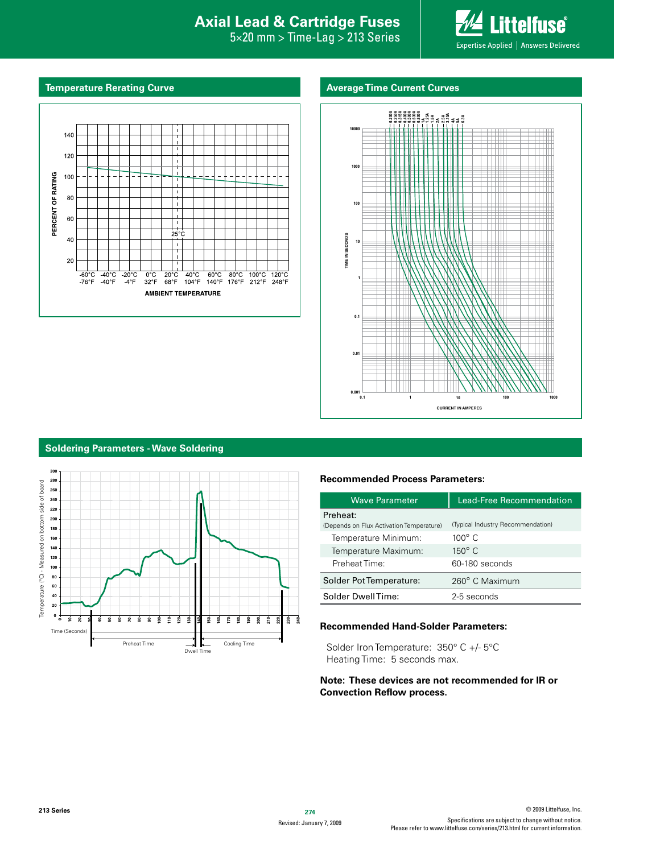### **Interproduction Interacts Axial Lead & Cartridge Fuses**

 $5\times20$  mm  $>$  Time-Lag  $>$  213 Series



#### **Temperature Rerating Curve**

#### **Average Time Current Curves**





#### **Soldering Parameters - Wave Soldering**



#### **Recommended Process Parameters:**

| Wave Parameter                                       | Lead-Free Recommendation          |  |  |  |
|------------------------------------------------------|-----------------------------------|--|--|--|
| Preheat:<br>(Depends on Flux Activation Temperature) | (Typical Industry Recommendation) |  |  |  |
| Temperature Minimum:                                 | $100^\circ$ C                     |  |  |  |
| Temperature Maximum:                                 | $150^{\circ}$ C                   |  |  |  |
| Preheat Time:                                        | 60-180 seconds                    |  |  |  |
| Solder Pot Temperature:                              | 260° C Maximum                    |  |  |  |
| Solder DwellTime:                                    | 2-5 seconds                       |  |  |  |

#### **Recommended Hand-Solder Parameters:**

Solder Iron Temperature: 350° C +/- 5°C Heating Time: 5 seconds max.

#### **Note: These devices are not recommended for IR or Convection Reflow process.**